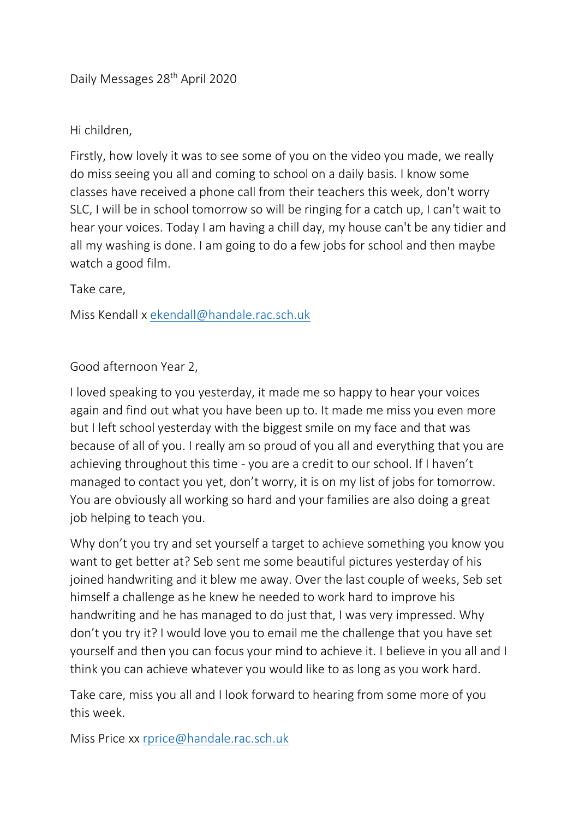Daily Messages 28<sup>th</sup> April 2020

Hi children,

Firstly, how lovely it was to see some of you on the video you made, we really do miss seeing you all and coming to school on a daily basis. I know some classes have received a phone call from their teachers this week, don't worry SLC, I will be in school tomorrow so will be ringing for a catch up, I can't wait to hear your voices. Today I am having a chill day, my house can't be any tidier and all my washing is done. I am going to do a few jobs for school and then maybe watch a good film.

Take care,

Miss Kendall x [ekendall@handale.rac.sch.uk](mailto:ekendall@handale.rac.sch.uk)

Good afternoon Year 2,

I loved speaking to you yesterday, it made me so happy to hear your voices again and find out what you have been up to. It made me miss you even more but I left school yesterday with the biggest smile on my face and that was because of all of you. I really am so proud of you all and everything that you are achieving throughout this time - you are a credit to our school. If I haven't managed to contact you yet, don't worry, it is on my list of jobs for tomorrow. You are obviously all working so hard and your families are also doing a great job helping to teach you.

Why don't you try and set yourself a target to achieve something you know you want to get better at? Seb sent me some beautiful pictures yesterday of his joined handwriting and it blew me away. Over the last couple of weeks, Seb set himself a challenge as he knew he needed to work hard to improve his handwriting and he has managed to do just that, I was very impressed. Why don't you try it? I would love you to email me the challenge that you have set yourself and then you can focus your mind to achieve it. I believe in you all and I think you can achieve whatever you would like to as long as you work hard.

Take care, miss you all and I look forward to hearing from some more of you this week.

Miss Price xx [rprice@handale.rac.sch.uk](mailto:rprice@handale.rac.sch.uk)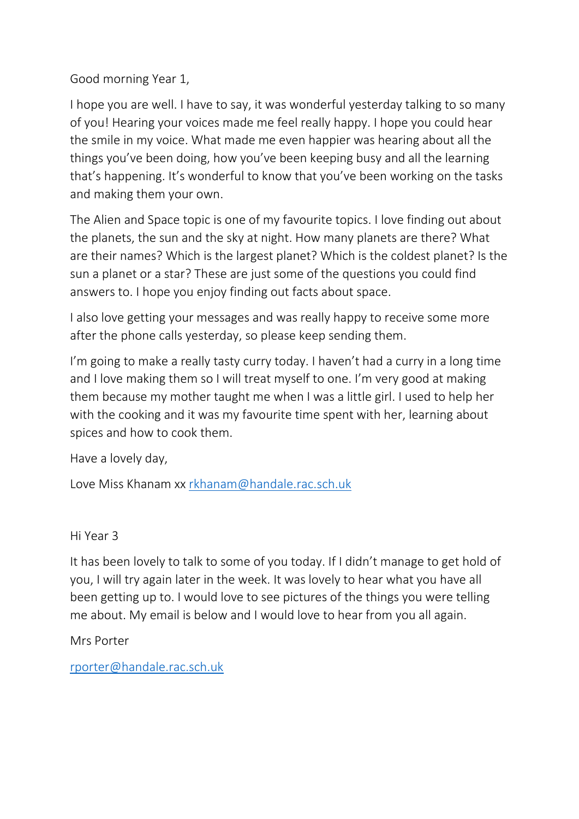Good morning Year 1,

I hope you are well. I have to say, it was wonderful yesterday talking to so many of you! Hearing your voices made me feel really happy. I hope you could hear the smile in my voice. What made me even happier was hearing about all the things you've been doing, how you've been keeping busy and all the learning that's happening. It's wonderful to know that you've been working on the tasks and making them your own.

The Alien and Space topic is one of my favourite topics. I love finding out about the planets, the sun and the sky at night. How many planets are there? What are their names? Which is the largest planet? Which is the coldest planet? Is the sun a planet or a star? These are just some of the questions you could find answers to. I hope you enjoy finding out facts about space.

I also love getting your messages and was really happy to receive some more after the phone calls yesterday, so please keep sending them.

I'm going to make a really tasty curry today. I haven't had a curry in a long time and I love making them so I will treat myself to one. I'm very good at making them because my mother taught me when I was a little girl. I used to help her with the cooking and it was my favourite time spent with her, learning about spices and how to cook them.

Have a lovely day,

Love Miss Khanam xx [rkhanam@handale.rac.sch.uk](mailto:rkhanam@handale.rac.sch.uk)

Hi Year 3

It has been lovely to talk to some of you today. If I didn't manage to get hold of you, I will try again later in the week. It was lovely to hear what you have all been getting up to. I would love to see pictures of the things you were telling me about. My email is below and I would love to hear from you all again.

Mrs Porter

[rporter@handale.rac.sch.uk](mailto:rporter@handale.rac.sch.uk)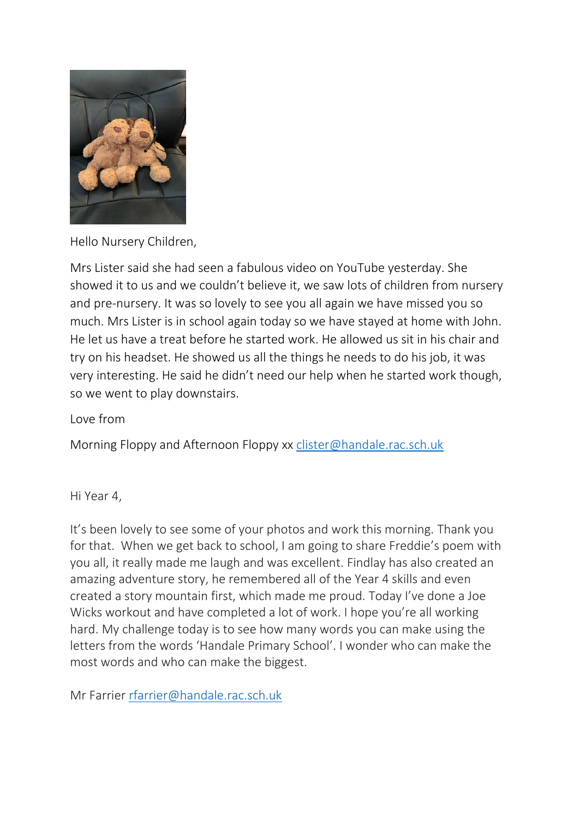

Hello Nursery Children,

Mrs Lister said she had seen a fabulous video on YouTube yesterday. She showed it to us and we couldn't believe it, we saw lots of children from nursery and pre-nursery. It was so lovely to see you all again we have missed you so much. Mrs Lister is in school again today so we have stayed at home with John. He let us have a treat before he started work. He allowed us sit in his chair and try on his headset. He showed us all the things he needs to do his job, it was very interesting. He said he didn't need our help when he started work though, so we went to play downstairs.

Love from

Morning Floppy and Afternoon Floppy xx [clister@handale.rac.sch.uk](mailto:clister@handale.rac.sch.uk)

Hi Year 4,

It's been lovely to see some of your photos and work this morning. Thank you for that. When we get back to school, I am going to share Freddie's poem with you all, it really made me laugh and was excellent. Findlay has also created an amazing adventure story, he remembered all of the Year 4 skills and even created a story mountain first, which made me proud. Today I've done a Joe Wicks workout and have completed a lot of work. I hope you're all working hard. My challenge today is to see how many words you can make using the letters from the words 'Handale Primary School'. I wonder who can make the most words and who can make the biggest.

Mr Farrier [rfarrier@handale.rac.sch.uk](mailto:rfarrier@handale.rac.sch.uk)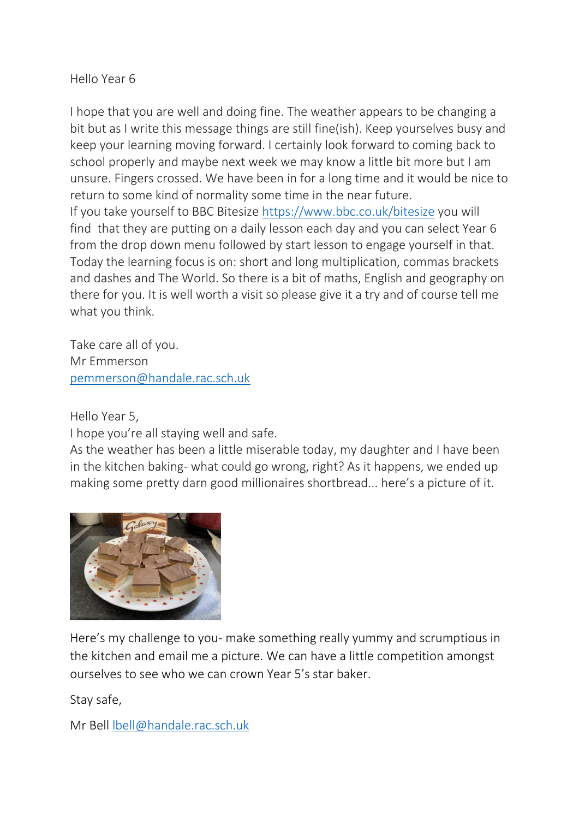## Hello Year 6

I hope that you are well and doing fine. The weather appears to be changing a bit but as I write this message things are still fine(ish). Keep yourselves busy and keep your learning moving forward. I certainly look forward to coming back to school properly and maybe next week we may know a little bit more but I am unsure. Fingers crossed. We have been in for a long time and it would be nice to return to some kind of normality some time in the near future. If you take yourself to BBC Bitesize <https://www.bbc.co.uk/bitesize> you will find that they are putting on a daily lesson each day and you can select Year 6 from the drop down menu followed by start lesson to engage yourself in that. Today the learning focus is on: short and long multiplication, commas brackets and dashes and The World. So there is a bit of maths, English and geography on

there for you. It is well worth a visit so please give it a try and of course tell me what you think.

Take care all of you. Mr Emmerson [pemmerson@handale.rac.sch.uk](mailto:pemmerson@handale.rac.sch.uk)

Hello Year 5,

I hope you're all staying well and safe.

As the weather has been a little miserable today, my daughter and I have been in the kitchen baking- what could go wrong, right? As it happens, we ended up making some pretty darn good millionaires shortbread... here's a picture of it.



Here's my challenge to you- make something really yummy and scrumptious in the kitchen and email me a picture. We can have a little competition amongst ourselves to see who we can crown Year 5's star baker.

Stay safe,

Mr Bell [lbell@handale.rac.sch.uk](mailto:lbell@handale.rac.sch.uk)